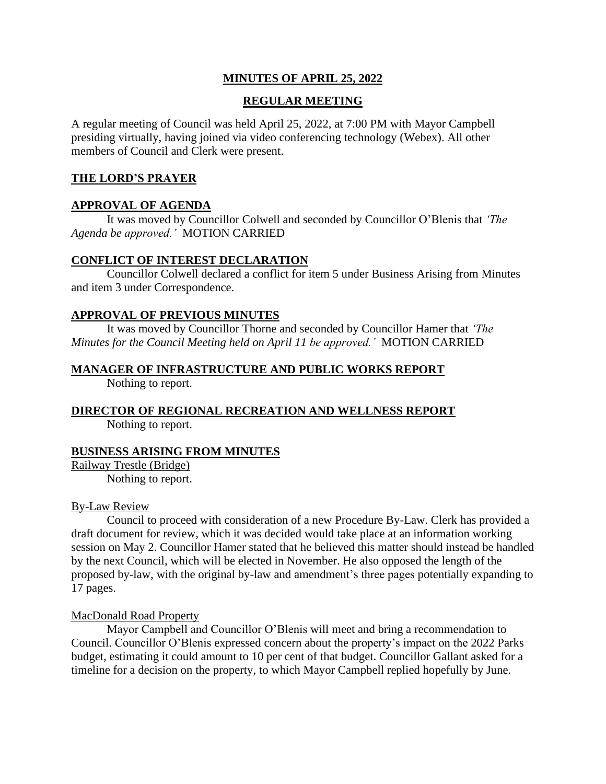# **MINUTES OF APRIL 25, 2022**

# **REGULAR MEETING**

A regular meeting of Council was held April 25, 2022, at 7:00 PM with Mayor Campbell presiding virtually, having joined via video conferencing technology (Webex). All other members of Council and Clerk were present.

### **THE LORD'S PRAYER**

# **APPROVAL OF AGENDA**

It was moved by Councillor Colwell and seconded by Councillor O'Blenis that *'The Agenda be approved.'* MOTION CARRIED

### **CONFLICT OF INTEREST DECLARATION**

Councillor Colwell declared a conflict for item 5 under Business Arising from Minutes and item 3 under Correspondence.

### **APPROVAL OF PREVIOUS MINUTES**

It was moved by Councillor Thorne and seconded by Councillor Hamer that *'The Minutes for the Council Meeting held on April 11 be approved.'* MOTION CARRIED

### **MANAGER OF INFRASTRUCTURE AND PUBLIC WORKS REPORT**

Nothing to report.

# **DIRECTOR OF REGIONAL RECREATION AND WELLNESS REPORT**

Nothing to report.

# **BUSINESS ARISING FROM MINUTES**

Railway Trestle (Bridge) Nothing to report.

### By-Law Review

Council to proceed with consideration of a new Procedure By-Law. Clerk has provided a draft document for review, which it was decided would take place at an information working session on May 2. Councillor Hamer stated that he believed this matter should instead be handled by the next Council, which will be elected in November. He also opposed the length of the proposed by-law, with the original by-law and amendment's three pages potentially expanding to 17 pages.

# MacDonald Road Property

Mayor Campbell and Councillor O'Blenis will meet and bring a recommendation to Council. Councillor O'Blenis expressed concern about the property's impact on the 2022 Parks budget, estimating it could amount to 10 per cent of that budget. Councillor Gallant asked for a timeline for a decision on the property, to which Mayor Campbell replied hopefully by June.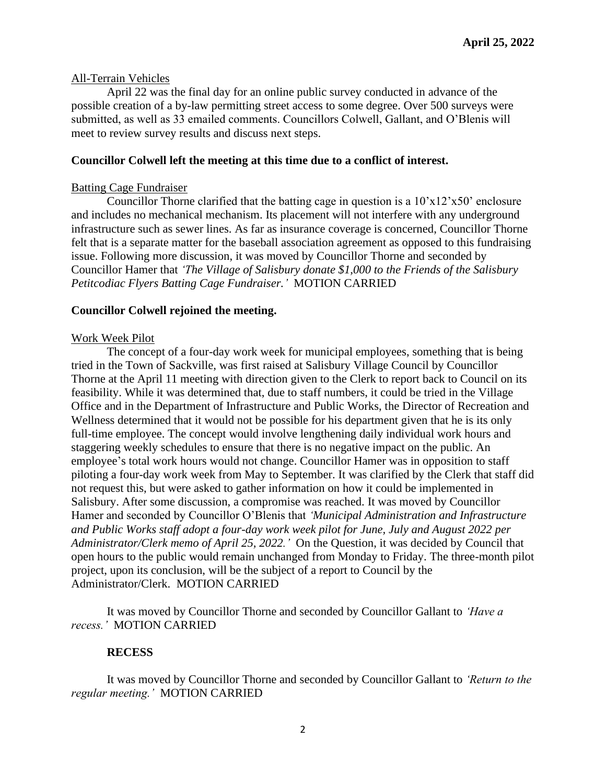### All-Terrain Vehicles

April 22 was the final day for an online public survey conducted in advance of the possible creation of a by-law permitting street access to some degree. Over 500 surveys were submitted, as well as 33 emailed comments. Councillors Colwell, Gallant, and O'Blenis will meet to review survey results and discuss next steps.

#### **Councillor Colwell left the meeting at this time due to a conflict of interest.**

#### Batting Cage Fundraiser

Councillor Thorne clarified that the batting cage in question is a  $10'x12'x50'$  enclosure and includes no mechanical mechanism. Its placement will not interfere with any underground infrastructure such as sewer lines. As far as insurance coverage is concerned, Councillor Thorne felt that is a separate matter for the baseball association agreement as opposed to this fundraising issue. Following more discussion, it was moved by Councillor Thorne and seconded by Councillor Hamer that *'The Village of Salisbury donate \$1,000 to the Friends of the Salisbury Petitcodiac Flyers Batting Cage Fundraiser.'* MOTION CARRIED

### **Councillor Colwell rejoined the meeting.**

#### Work Week Pilot

The concept of a four-day work week for municipal employees, something that is being tried in the Town of Sackville, was first raised at Salisbury Village Council by Councillor Thorne at the April 11 meeting with direction given to the Clerk to report back to Council on its feasibility. While it was determined that, due to staff numbers, it could be tried in the Village Office and in the Department of Infrastructure and Public Works, the Director of Recreation and Wellness determined that it would not be possible for his department given that he is its only full-time employee. The concept would involve lengthening daily individual work hours and staggering weekly schedules to ensure that there is no negative impact on the public. An employee's total work hours would not change. Councillor Hamer was in opposition to staff piloting a four-day work week from May to September. It was clarified by the Clerk that staff did not request this, but were asked to gather information on how it could be implemented in Salisbury. After some discussion, a compromise was reached. It was moved by Councillor Hamer and seconded by Councillor O'Blenis that *'Municipal Administration and Infrastructure and Public Works staff adopt a four-day work week pilot for June, July and August 2022 per Administrator/Clerk memo of April 25, 2022.'* On the Question, it was decided by Council that open hours to the public would remain unchanged from Monday to Friday. The three-month pilot project, upon its conclusion, will be the subject of a report to Council by the Administrator/Clerk. MOTION CARRIED

It was moved by Councillor Thorne and seconded by Councillor Gallant to *'Have a recess.'* MOTION CARRIED

### **RECESS**

It was moved by Councillor Thorne and seconded by Councillor Gallant to *'Return to the regular meeting.'* MOTION CARRIED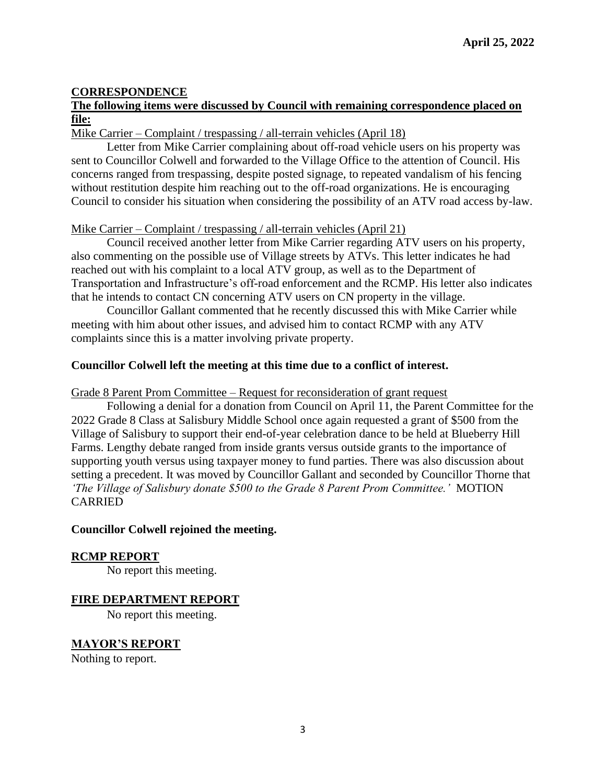# **CORRESPONDENCE**

# **The following items were discussed by Council with remaining correspondence placed on file:**

### Mike Carrier – Complaint / trespassing / all-terrain vehicles (April 18)

Letter from Mike Carrier complaining about off-road vehicle users on his property was sent to Councillor Colwell and forwarded to the Village Office to the attention of Council. His concerns ranged from trespassing, despite posted signage, to repeated vandalism of his fencing without restitution despite him reaching out to the off-road organizations. He is encouraging Council to consider his situation when considering the possibility of an ATV road access by-law.

# Mike Carrier – Complaint / trespassing / all-terrain vehicles (April 21)

Council received another letter from Mike Carrier regarding ATV users on his property, also commenting on the possible use of Village streets by ATVs. This letter indicates he had reached out with his complaint to a local ATV group, as well as to the Department of Transportation and Infrastructure's off-road enforcement and the RCMP. His letter also indicates that he intends to contact CN concerning ATV users on CN property in the village.

Councillor Gallant commented that he recently discussed this with Mike Carrier while meeting with him about other issues, and advised him to contact RCMP with any ATV complaints since this is a matter involving private property.

# **Councillor Colwell left the meeting at this time due to a conflict of interest.**

### Grade 8 Parent Prom Committee – Request for reconsideration of grant request

Following a denial for a donation from Council on April 11, the Parent Committee for the 2022 Grade 8 Class at Salisbury Middle School once again requested a grant of \$500 from the Village of Salisbury to support their end-of-year celebration dance to be held at Blueberry Hill Farms. Lengthy debate ranged from inside grants versus outside grants to the importance of supporting youth versus using taxpayer money to fund parties. There was also discussion about setting a precedent. It was moved by Councillor Gallant and seconded by Councillor Thorne that *'The Village of Salisbury donate \$500 to the Grade 8 Parent Prom Committee.'* MOTION CARRIED

### **Councillor Colwell rejoined the meeting.**

### **RCMP REPORT**

No report this meeting.

### **FIRE DEPARTMENT REPORT**

No report this meeting.

# **MAYOR'S REPORT**

Nothing to report.